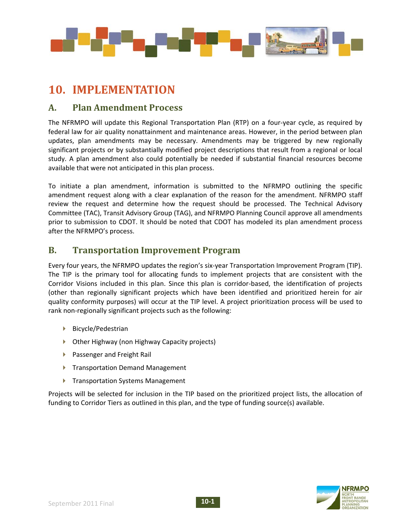

## **10. IMPLEMENTATION**

## **A. Plan Amendment Process**

The NFRMPO will update this Regional Transportation Plan (RTP) on a four‐year cycle, as required by federal law for air quality nonattainment and maintenance areas. However, in the period between plan updates, plan amendments may be necessary. Amendments may be triggered by new regionally significant projects or by substantially modified project descriptions that result from a regional or local study. A plan amendment also could potentially be needed if substantial financial resources become available that were not anticipated in this plan process.

To initiate a plan amendment, information is submitted to the NFRMPO outlining the specific amendment request along with a clear explanation of the reason for the amendment. NFRMPO staff review the request and determine how the request should be processed. The Technical Advisory Committee (TAC), Transit Advisory Group (TAG), and NFRMPO Planning Council approve all amendments prior to submission to CDOT. It should be noted that CDOT has modeled its plan amendment process after the NFRMPO's process.

## **B. Transportation Improvement Program**

Every four years, the NFRMPO updates the region's six‐year Transportation Improvement Program (TIP). The TIP is the primary tool for allocating funds to implement projects that are consistent with the Corridor Visions included in this plan. Since this plan is corridor‐based, the identification of projects (other than regionally significant projects which have been identified and prioritized herein for air quality conformity purposes) will occur at the TIP level. A project prioritization process will be used to rank non-regionally significant projects such as the following:

- ▶ Bicycle/Pedestrian
- ▶ Other Highway (non Highway Capacity projects)
- ▶ Passenger and Freight Rail
- **F** Transportation Demand Management
- ▶ Transportation Systems Management

Projects will be selected for inclusion in the TIP based on the prioritized project lists, the allocation of funding to Corridor Tiers as outlined in this plan, and the type of funding source(s) available.

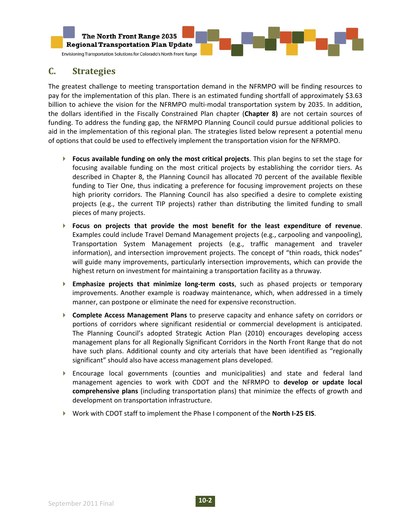

## **C. Strategies**

The greatest challenge to meeting transportation demand in the NFRMPO will be finding resources to pay for the implementation of this plan. There is an estimated funding shortfall of approximately \$3.63 billion to achieve the vision for the NFRMPO multi-modal transportation system by 2035. In addition, the dollars identified in the Fiscally Constrained Plan chapter (**Chapter 8)** are not certain sources of funding. To address the funding gap, the NFRMPO Planning Council could pursue additional policies to aid in the implementation of this regional plan. The strategies listed below represent a potential menu of options that could be used to effectively implement the transportation vision for the NFRMPO.

- **Focus available funding on only the most critical projects**. This plan begins to set the stage for focusing available funding on the most critical projects by establishing the corridor tiers. As described in Chapter 8, the Planning Council has allocated 70 percent of the available flexible funding to Tier One, thus indicating a preference for focusing improvement projects on these high priority corridors. The Planning Council has also specified a desire to complete existing projects (e.g., the current TIP projects) rather than distributing the limited funding to small pieces of many projects.
- **Focus on projects that provide the most benefit for the least expenditure of revenue**. Examples could include Travel Demand Management projects (e.g., carpooling and vanpooling), Transportation System Management projects (e.g., traffic management and traveler information), and intersection improvement projects. The concept of "thin roads, thick nodes" will guide many improvements, particularly intersection improvements, which can provide the highest return on investment for maintaining a transportation facility as a thruway.
- **Emphasize projects that minimize long‐term costs**, such as phased projects or temporary improvements. Another example is roadway maintenance, which, when addressed in a timely manner, can postpone or eliminate the need for expensive reconstruction.
- **Complete Access Management Plans** to preserve capacity and enhance safety on corridors or portions of corridors where significant residential or commercial development is anticipated. The Planning Council's adopted Strategic Action Plan (2010) encourages developing access management plans for all Regionally Significant Corridors in the North Front Range that do not have such plans. Additional county and city arterials that have been identified as "regionally significant" should also have access management plans developed.
- Encourage local governments (counties and municipalities) and state and federal land management agencies to work with CDOT and the NFRMPO to **develop or update local comprehensive plans** (including transportation plans) that minimize the effects of growth and development on transportation infrastructure.
- Work with CDOT staff to implement the Phase I component of the **North I‐25 EIS**.